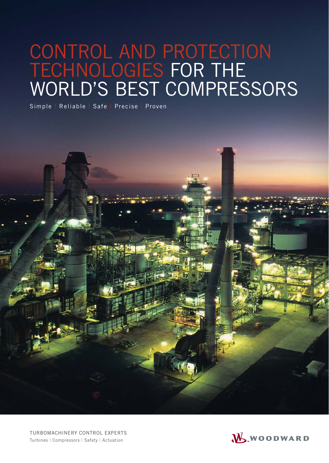# CONTROL AND PROTECTION TECHNOLOGIES FOR THE WORLD'S BEST COMPRESSORS

Simple | Reliable | Safe | Precise | Proven

TURBOMACHINERY CONTROL EXPERTS Turbines | Compressors | Safety | Actuation

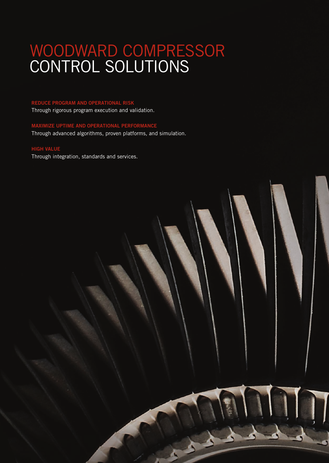# WOODWARD COMPRESSOR CONTROL SOLUTIONS

#### REDUCE PROGRAM AND OPERATIONAL RISK

Through rigorous program execution and validation.

### MAXIMIZE UPTIME AND OPERATIONAL PERFORMANCE Through advanced algorithms, proven platforms, and simulation.

### HIGH VALUE

Through integration, standards and services.

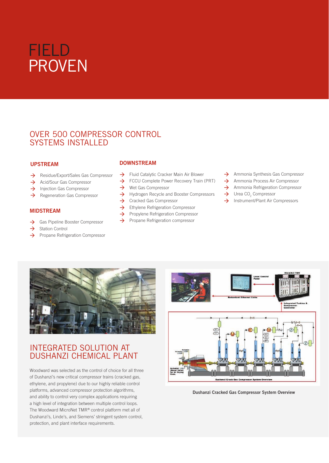

## OVER 500 COMPRESSOR CONTROL SYSTEMS INSTALLED

#### UPSTREAM

- $\rightarrow$  Residue/Export/Sales Gas Compressor
- $\rightarrow$  Acid/Sour Gas Compressor
- $\rightarrow$  Injection Gas Compressor
- $\rightarrow$  Regeneration Gas Compressor

#### MIDSTREAM

- $\rightarrow$  Gas Pipeline Booster Compressor
- $\rightarrow$  Station Control
- $\rightarrow$  Propane Refrigeration Compressor

### DOWNSTREAM

- $\rightarrow$  Fluid Catalytic Cracker Main Air Blower
- FCCU Complete Power Recovery Train (PRT)
- $\rightarrow$  Wet Gas Compressor
- $\rightarrow$  Hydrogen Recycle and Booster Compressors
- $\rightarrow$  Cracked Gas Compressor
- $\rightarrow$  Ethylene Refrigeration Compressor
- **→** Propylene Refrigeration Compressor
- $\rightarrow$  Propane Refrigeration compressor
- $\rightarrow$  Ammonia Synthesis Gas Compressor
- $\rightarrow$  Ammonia Process Air Compressor
- $\rightarrow$  Ammonia Refrigeration Compressor
- $\rightarrow$  Urea CO<sub>2</sub> Compressor
- $\rightarrow$  Instrument/Plant Air Compressors



### INTEGRATED SOLUTION AT DUSHANZI CHEMICAL PLANT

Woodward was selected as the control of choice for all three of Dushanzi's new critical compressor trains (cracked gas, ethylene, and propylene) due to our highly reliable control platforms, advanced compressor protection algorithms, and ability to control very complex applications requiring a high level of integration between multiple control loops. The Woodward MicroNet TMR® control platform met all of Dushanzi's, Linde's, and Siemens' stringent system control, protection, and plant interface requirements.



Dushanzi Cracked Gas Compressor System Overview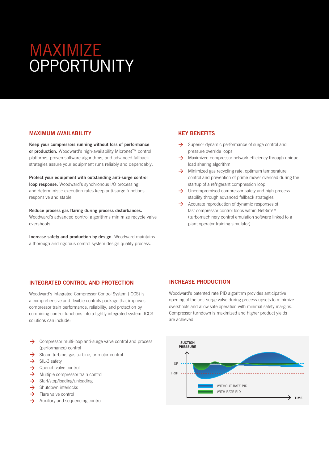# MAXIMIZE **OPPORTUNITY**

#### MAXIMUM AVAILABILITY

Keep your compressors running without loss of performance or production. Woodward's high-availability Micronet™ control platforms, proven software algorithms, and advanced fallback strategies assure your equipment runs reliably and dependably.

Protect your equipment with outstanding anti-surge control loop response. Woodward's synchronous I/O processing and deterministic execution rates keep anti-surge functions responsive and stable.

Reduce process gas flaring during process disturbances. Woodward's advanced control algorithms minimize recycle valve overshoots.

Increase safety and production by design. Woodward maintains a thorough and rigorous control system design quality process.

#### KEY BENEFITS

- $\rightarrow$  Superior dynamic performance of surge control and pressure override loops
- $\rightarrow$  Maximized compressor network efficiency through unique load sharing algorithm
- $\rightarrow$  Minimized gas recycling rate, optimum temperature control and prevention of prime mover overload during the startup of a refrigerant compression loop
- $\rightarrow$  Uncompromised compressor safety and high process stability through advanced fallback strategies
- $\rightarrow$  Accurate reproduction of dynamic responses of fast compressor control loops within NetSim™ (turbomachinery control emulation software linked to a plant operator training simulator)

#### INTEGRATED CONTROL AND PROTECTION

Woodward's Integrated Compressor Control System (ICCS) is a comprehensive and flexible controls package that improves compressor train performance, reliability, and protection by combining control functions into a tightly integrated system. ICCS solutions can include:

- $\rightarrow$  Compressor multi-loop anti-surge valve control and process (performance) control
- $\rightarrow$  Steam turbine, gas turbine, or motor control
- $\rightarrow$  SIL-3 safety
- $\rightarrow$  Quench valve control
- $\rightarrow$  Multiple compressor train control
- $\rightarrow$  Start/stop/loading/unloading
- $\rightarrow$  Shutdown interlocks
- $\rightarrow$  Flare valve control
- $\rightarrow$  Auxiliary and sequencing control

#### INCREASE PRODUCTION

Woodward's patented rate PID algorithm provides anticipative opening of the anti-surge valve during process upsets to minimize overshoots and allow safe operation with minimal safety margins. Compressor turndown is maximized and higher product yields are achieved.

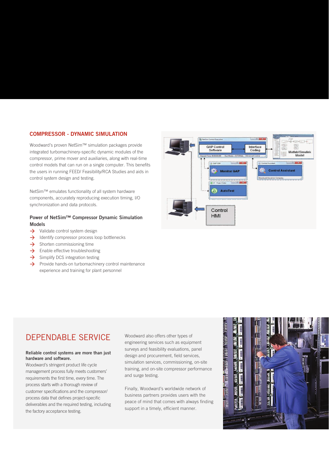#### COMPRESSOR - DYNAMIC SIMULATION

Woodward's proven NetSim™ simulation packages provide integrated turbomachinery-specific dynamic modules of the compressor, prime mover and auxiliaries, along with real-time control models that can run on a single computer. This benefits the users in running FEED/ Feasibility/RCA Studies and aids in control system design and testing.

NetSim™ emulates functionality of all system hardware components, accurately reproducing execution timing, I/O synchronization and data protocols.

#### Power of NetSim™ Compressor Dynamic Simulation Models

- $\rightarrow$  Validate control system design
- $\rightarrow$  Identify compressor process loop bottlenecks
- $\rightarrow$  Shorten commissioning time
- $\rightarrow$  Enable effective troubleshooting
- $\rightarrow$  Simplify DCS integration testing
- $\rightarrow$  Provide hands-on turbomachinery control maintenance experience and training for plant personnel



## DEPENDABLE SERVICE

#### Reliable control systems are more than just hardware and software.

Woodward's stringent product life cycle management process fully meets customers' requirements the first time, every time. The process starts with a thorough review of customer specifications and the compressor/ process data that defines project-specific deliverables and the required testing, including the factory acceptance testing.

Woodward also offers other types of engineering services such as equipment surveys and feasibility evaluations, panel design and procurement, field services, simulation services, commissioning, on-site training, and on-site compressor performance and surge testing.

Finally, Woodward's worldwide network of business partners provides users with the peace of mind that comes with always finding support in a timely, efficient manner.